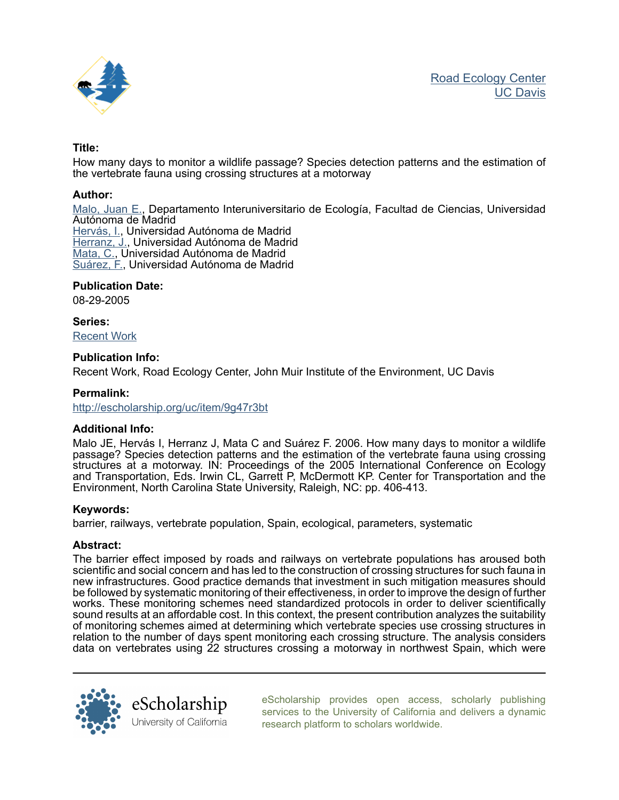

# Title:

How many days to monitor a wildlife passage? Species detection patterns and the estimation of the vertebrate fauna using crossing structures at a motorway

# Author:

[Malo, Juan E.,](http://escholarship.org/uc/search?creator=Malo%2C%20Juan%20E.) Departamento Interuniversitario de Ecología, Facultad de Ciencias, Universidad Autónoma de Madrid [Hervás, I.](http://escholarship.org/uc/search?creator=Herv%C3%A1s%2C%20I.), Universidad Autónoma de Madrid [Herranz, J.,](http://escholarship.org/uc/search?creator=Herranz%2C%20J.) Universidad Autónoma de Madrid [Mata, C.,](http://escholarship.org/uc/search?creator=Mata%2C%20C.) Universidad Autónoma de Madrid [Suárez, F.](http://escholarship.org/uc/search?creator=Su%C3%A1rez%2C%20F.), Universidad Autónoma de Madrid

# Publication Date:

08-29-2005

Series: [Recent Work](http://escholarship.org/uc/jmie_roadeco_rw)

## Publication Info:

Recent Work, Road Ecology Center, John Muir Institute of the Environment, UC Davis

## Permalink:

<http://escholarship.org/uc/item/9g47r3bt>

## Additional Info:

Malo JE, Hervás I, Herranz J, Mata C and Suárez F. 2006. How many days to monitor a wildlife passage? Species detection patterns and the estimation of the vertebrate fauna using crossing structures at a motorway. IN: Proceedings of the 2005 International Conference on Ecology and Transportation, Eds. Irwin CL, Garrett P, McDermott KP. Center for Transportation and the Environment, North Carolina State University, Raleigh, NC: pp. 406-413.

## Keywords:

barrier, railways, vertebrate population, Spain, ecological, parameters, systematic

## Abstract:

The barrier effect imposed by roads and railways on vertebrate populations has aroused both scientific and social concern and has led to the construction of crossing structures for such fauna in new infrastructures. Good practice demands that investment in such mitigation measures should be followed by systematic monitoring of their effectiveness, in order to improve the design of further works. These monitoring schemes need standardized protocols in order to deliver scientifically sound results at an affordable cost. In this context, the present contribution analyzes the suitability of monitoring schemes aimed at determining which vertebrate species use crossing structures in relation to the number of days spent monitoring each crossing structure. The analysis considers data on vertebrates using 22 structures crossing a motorway in northwest Spain, which were



[eScholarship provides open access, scholarly publishing](http://escholarship.org) [services to the University of California and delivers a dynamic](http://escholarship.org) [research platform to scholars worldwide.](http://escholarship.org)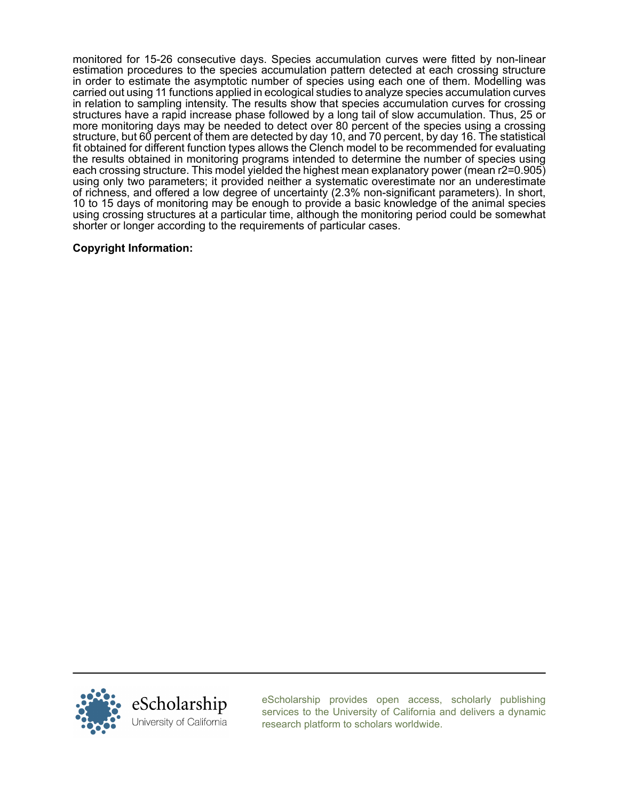monitored for 15-26 consecutive days. Species accumulation curves were fitted by non-linear estimation procedures to the species accumulation pattern detected at each crossing structure in order to estimate the asymptotic number of species using each one of them. Modelling was carried out using 11 functions applied in ecological studies to analyze species accumulation curves in relation to sampling intensity. The results show that species accumulation curves for crossing structures have a rapid increase phase followed by a long tail of slow accumulation. Thus, 25 or more monitoring days may be needed to detect over 80 percent of the species using a crossing structure, but 60 percent of them are detected by day 10, and 70 percent, by day 16. The statistical fit obtained for different function types allows the Clench model to be recommended for evaluating the results obtained in monitoring programs intended to determine the number of species using each crossing structure. This model yielded the highest mean explanatory power (mean r2=0.905) using only two parameters; it provided neither a systematic overestimate nor an underestimate of richness, and offered a low degree of uncertainty (2.3% non-significant parameters). In short, 10 to 15 days of monitoring may be enough to provide a basic knowledge of the animal species using crossing structures at a particular time, although the monitoring period could be somewhat shorter or longer according to the requirements of particular cases.

# Copyright Information:



[eScholarship provides open access, scholarly publishing](http://escholarship.org) [services to the University of California and delivers a dynamic](http://escholarship.org) [research platform to scholars worldwide.](http://escholarship.org)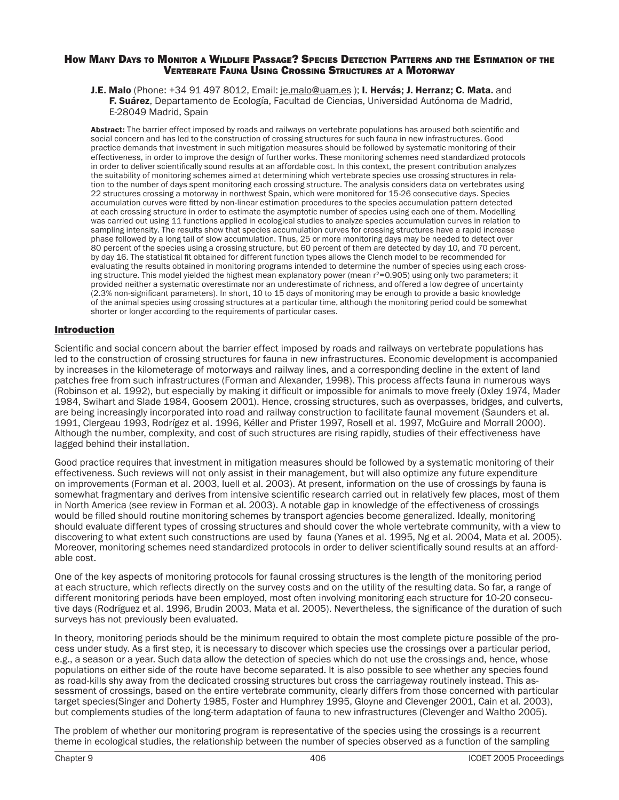#### HOW MANY DAYS TO MONITOR A WILDLIFE PASSAGE? SPECIES DETECTION PATTERNS AND THE ESTIMATION OF THE VERTEBRATE FAUNA USING CROSSING STRUCTURES AT A MOTORWAY

J.E. Malo (Phone: +34 91 497 8012, Email: [je.malo@uam.es](mailto:je.malo@uam.es) ); I. Hervás; J. Herranz; C. Mata. and F. Suárez, Departamento de Ecología, Facultad de Ciencias, Universidad Autónoma de Madrid, E-28049 Madrid, Spain

Abstract: The barrier effect imposed by roads and railways on vertebrate populations has aroused both scientific and social concern and has led to the construction of crossing structures for such fauna in new infrastructures. Good practice demands that investment in such mitigation measures should be followed by systematic monitoring of their effectiveness, in order to improve the design of further works. These monitoring schemes need standardized protocols in order to deliver scientifically sound results at an affordable cost. In this context, the present contribution analyzes the suitability of monitoring schemes aimed at determining which vertebrate species use crossing structures in relation to the number of days spent monitoring each crossing structure. The analysis considers data on vertebrates using 22 structures crossing a motorway in northwest Spain, which were monitored for 15-26 consecutive days. Species accumulation curves were fitted by non-linear estimation procedures to the species accumulation pattern detected at each crossing structure in order to estimate the asymptotic number of species using each one of them. Modelling was carried out using 11 functions applied in ecological studies to analyze species accumulation curves in relation to sampling intensity. The results show that species accumulation curves for crossing structures have a rapid increase phase followed by a long tail of slow accumulation. Thus, 25 or more monitoring days may be needed to detect over 80 percent of the species using a crossing structure, but 60 percent of them are detected by day 10, and 70 percent, by day 16. The statistical fit obtained for different function types allows the Clench model to be recommended for evaluating the results obtained in monitoring programs intended to determine the number of species using each crossing structure. This model yielded the highest mean explanatory power (mean r<sup>2</sup>=0.905) using only two parameters; it provided neither a systematic overestimate nor an underestimate of richness, and offered a low degree of uncertainty (2.3% non-significant parameters). In short, 10 to 15 days of monitoring may be enough to provide a basic knowledge of the animal species using crossing structures at a particular time, although the monitoring period could be somewhat shorter or longer according to the requirements of particular cases.

### **Introduction**

Scientific and social concern about the barrier effect imposed by roads and railways on vertebrate populations has led to the construction of crossing structures for fauna in new infrastructures. Economic development is accompanied by increases in the kilometerage of motorways and railway lines, and a corresponding decline in the extent of land patches free from such infrastructures (Forman and Alexander, 1998). This process affects fauna in numerous ways (Robinson et al. 1992), but especially by making it difficult or impossible for animals to move freely (Oxley 1974, Mader 1984, Swihart and Slade 1984, Goosem 2001). Hence, crossing structures, such as overpasses, bridges, and culverts, are being increasingly incorporated into road and railway construction to facilitate faunal movement (Saunders et al. 1991, Clergeau 1993, Rodrígez et al. 1996, Kéller and Pfister 1997, Rosell et al. 1997, McGuire and Morrall 2000). Although the number, complexity, and cost of such structures are rising rapidly, studies of their effectiveness have lagged behind their installation.

Good practice requires that investment in mitigation measures should be followed by a systematic monitoring of their effectiveness. Such reviews will not only assist in their management, but will also optimize any future expenditure on improvements (Forman et al. 2003, Iuell et al. 2003). At present, information on the use of crossings by fauna is somewhat fragmentary and derives from intensive scientific research carried out in relatively few places, most of them in North America (see review in Forman et al. 2003). A notable gap in knowledge of the effectiveness of crossings would be filled should routine monitoring schemes by transport agencies become generalized. Ideally, monitoring should evaluate different types of crossing structures and should cover the whole vertebrate community, with a view to discovering to what extent such constructions are used by fauna (Yanes et al. 1995, Ng et al. 2004, Mata et al. 2005). Moreover, monitoring schemes need standardized protocols in order to deliver scientifically sound results at an affordable cost.

One of the key aspects of monitoring protocols for faunal crossing structures is the length of the monitoring period at each structure, which reflects directly on the survey costs and on the utility of the resulting data. So far, a range of different monitoring periods have been employed, most often involving monitoring each structure for 10-20 consecutive days (Rodríguez et al. 1996, Brudin 2003, Mata et al. 2005). Nevertheless, the significance of the duration of such surveys has not previously been evaluated.

In theory, monitoring periods should be the minimum required to obtain the most complete picture possible of the process under study. As a first step, it is necessary to discover which species use the crossings over a particular period, e.g., a season or a year. Such data allow the detection of species which do not use the crossings and, hence, whose populations on either side of the route have become separated. It is also possible to see whether any species found as road-kills shy away from the dedicated crossing structures but cross the carriageway routinely instead. This assessment of crossings, based on the entire vertebrate community, clearly differs from those concerned with particular target species(Singer and Doherty 1985, Foster and Humphrey 1995, Gloyne and Clevenger 2001, Cain et al. 2003), but complements studies of the long-term adaptation of fauna to new infrastructures (Clevenger and Waltho 2005).

The problem of whether our monitoring program is representative of the species using the crossings is a recurrent theme in ecological studies, the relationship between the number of species observed as a function of the sampling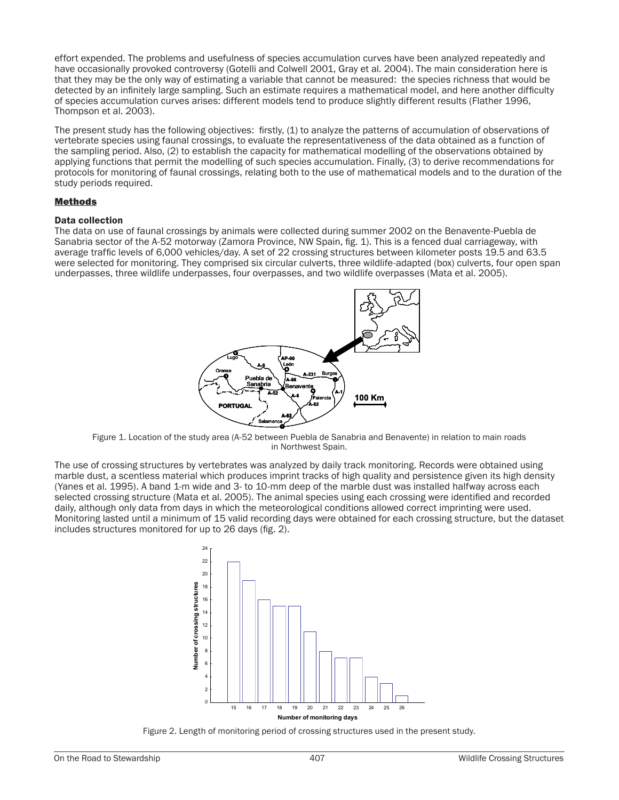effort expended. The problems and usefulness of species accumulation curves have been analyzed repeatedly and have occasionally provoked controversy (Gotelli and Colwell 2001, Gray et al. 2004). The main consideration here is that they may be the only way of estimating a variable that cannot be measured: the species richness that would be detected by an infinitely large sampling. Such an estimate requires a mathematical model, and here another difficulty of species accumulation curves arises: different models tend to produce slightly different results (Flather 1996, Thompson et al. 2003).

The present study has the following objectives: firstly, (1) to analyze the patterns of accumulation of observations of vertebrate species using faunal crossings, to evaluate the representativeness of the data obtained as a function of the sampling period. Also, (2) to establish the capacity for mathematical modelling of the observations obtained by applying functions that permit the modelling of such species accumulation. Finally, (3) to derive recommendations for protocols for monitoring of faunal crossings, relating both to the use of mathematical models and to the duration of the study periods required.

#### **Methods**

#### **Data collection**

The data on use of faunal crossings by animals were collected during summer 2002 on the Benavente-Puebla de Sanabria sector of the A-52 motorway (Zamora Province, NW Spain, fig. 1). This is a fenced dual carriageway, with average traffic levels of 6,000 vehicles/day. A set of 22 crossing structures between kilometer posts 19.5 and 63.5 were selected for monitoring. They comprised six circular culverts, three wildlife-adapted (box) culverts, four open span underpasses, three wildlife underpasses, four overpasses, and two wildlife overpasses (Mata et al. 2005).



Figure 1. Location of the study area (A-52 between Puebla de Sanabria and Benavente) in relation to main roads in Northwest Spain.

The use of crossing structures by vertebrates was analyzed by daily track monitoring. Records were obtained using marble dust, a scentless material which produces imprint tracks of high quality and persistence given its high density (Yanes et al. 1995). A band 1-m wide and 3- to 10-mm deep of the marble dust was installed halfway across each selected crossing structure (Mata et al. 2005). The animal species using each crossing were identified and recorded daily, although only data from days in which the meteorological conditions allowed correct imprinting were used. Monitoring lasted until a minimum of 15 valid recording days were obtained for each crossing structure, but the dataset includes structures monitored for up to 26 days (fig. 2).



Figure 2. Length of monitoring period of crossing structures used in the present study.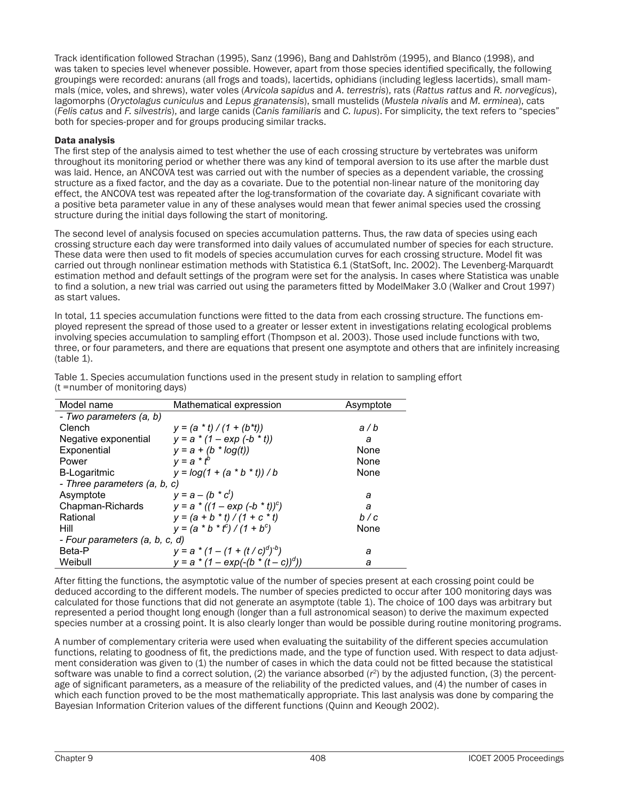Track identification followed Strachan (1995), Sanz (1996), Bang and Dahlström (1995), and Blanco (1998), and was taken to species level whenever possible. However, apart from those species identified specifically, the following groupings were recorded: anurans (all frogs and toads), lacertids, ophidians (including legless lacertids), small mammals (mice, voles, and shrews), water voles (Arvicola sapidus and A. terrestris), rats (Rattus rattus and R. norvegicus), lagomorphs (Oryctolagus cuniculus and Lepus granatensis), small mustelids (Mustela nivalis and M. erminea), cats (Felis catus and F. silvestris), and large canids (Canis familiaris and C. lupus). For simplicity, the text refers to "species" both for species-proper and for groups producing similar tracks.

### **Data analysis**

The first step of the analysis aimed to test whether the use of each crossing structure by vertebrates was uniform throughout its monitoring period or whether there was any kind of temporal aversion to its use after the marble dust was laid. Hence, an ANCOVA test was carried out with the number of species as a dependent variable, the crossing structure as a fixed factor, and the day as a covariate. Due to the potential non-linear nature of the monitoring day effect, the ANCOVA test was repeated after the log-transformation of the covariate day. A significant covariate with a positive beta parameter value in any of these analyses would mean that fewer animal species used the crossing structure during the initial days following the start of monitoring.

The second level of analysis focused on species accumulation patterns. Thus, the raw data of species using each crossing structure each day were transformed into daily values of accumulated number of species for each structure. These data were then used to fit models of species accumulation curves for each crossing structure. Model fit was carried out through nonlinear estimation methods with Statistica 6.1 (StatSoft, Inc. 2002). The Levenberg-Marquardt estimation method and default settings of the program were set for the analysis. In cases where Statistica was unable to find a solution, a new trial was carried out using the parameters fitted by ModelMaker 3.0 (Walker and Crout 1997) as start values.

In total, 11 species accumulation functions were fitted to the data from each crossing structure. The functions employed represent the spread of those used to a greater or lesser extent in investigations relating ecological problems involving species accumulation to sampling effort (Thompson et al. 2003). Those used include functions with two, three, or four parameters, and there are equations that present one asymptote and others that are infinitely increasing  $(table 1).$ 

| Model name                     | Mathematical expression                | Asymptote |  |  |  |  |
|--------------------------------|----------------------------------------|-----------|--|--|--|--|
| - Two parameters (a, b)        |                                        |           |  |  |  |  |
| Clench                         | $y = (a * t) / (1 + (b * t))$          | a/b       |  |  |  |  |
| Negative exponential           | $y = a * (1 - exp(-b * t))$            | a         |  |  |  |  |
| Exponential                    | $y = a + (b * log(t))$<br>$y = a * tb$ | None      |  |  |  |  |
| Power                          |                                        | None      |  |  |  |  |
| <b>B-Logaritmic</b>            | $y = log(1 + (a * b * t))/b$           | None      |  |  |  |  |
| - Three parameters (a, b, c)   |                                        |           |  |  |  |  |
| Asymptote                      | $y = a - (b * c^t)$                    | a         |  |  |  |  |
| Chapman-Richards               | $y = a * ((1 - exp (-b * t))c)$        | a         |  |  |  |  |
| Rational                       | $y = (a + b * t) / (1 + c * t)$        | b/c       |  |  |  |  |
| Hill                           | $y = (a * b * t^c) / (1 + b^c)$        | None      |  |  |  |  |
| - Four parameters (a, b, c, d) |                                        |           |  |  |  |  |
| Beta-P                         | $y = a * (1 - (1 + (t/c)^d)^{-b})$     | а         |  |  |  |  |
| Weibull                        | $y = a * (1 - exp(-(b * (t - c))^d))$  | a         |  |  |  |  |

Table 1. Species accumulation functions used in the present study in relation to sampling effort (t = number of monitoring days)

After fitting the functions, the asymptotic value of the number of species present at each crossing point could be deduced according to the different models. The number of species predicted to occur after 100 monitoring days was calculated for those functions that did not generate an asymptote (table 1). The choice of 100 days was arbitrary but represented a period thought long enough (longer than a full astronomical season) to derive the maximum expected species number at a crossing point. It is also clearly longer than would be possible during routine monitoring programs.

A number of complementary criteria were used when evaluating the suitability of the different species accumulation functions, relating to goodness of fit, the predictions made, and the type of function used. With respect to data adjustment consideration was given to (1) the number of cases in which the data could not be fitted because the statistical software was unable to find a correct solution, (2) the variance absorbed  $(r^2)$  by the adjusted function, (3) the percentage of significant parameters, as a measure of the reliability of the predicted values, and (4) the number of cases in which each function proved to be the most mathematically appropriate. This last analysis was done by comparing the Bayesian Information Criterion values of the different functions (Quinn and Keough 2002).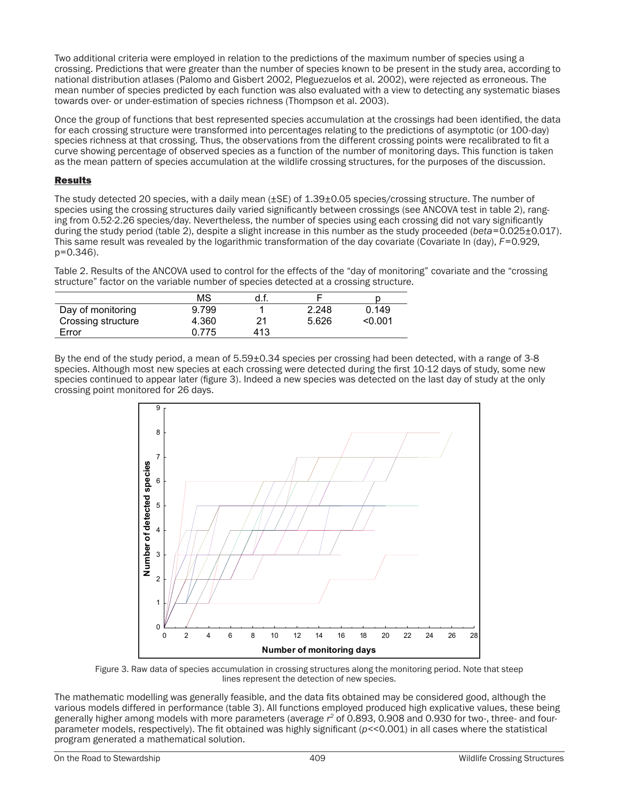Two additional criteria were employed in relation to the predictions of the maximum number of species using a crossing. Predictions that were greater than the number of species known to be present in the study area, according to national distribution atlases (Palomo and Gisbert 2002, Pleguezuelos et al. 2002), were rejected as erroneous. The mean number of species predicted by each function was also evaluated with a view to detecting any systematic biases towards over- or under-estimation of species richness (Thompson et al. 2003).

Once the group of functions that best represented species accumulation at the crossings had been identified, the data for each crossing structure were transformed into percentages relating to the predictions of asymptotic (or 100-day) species richness at that crossing. Thus, the observations from the different crossing points were recalibrated to fit a curve showing percentage of observed species as a function of the number of monitoring days. This function is taken as the mean pattern of species accumulation at the wildlife crossing structures, for the purposes of the discussion.

### **Results**

The study detected 20 species, with a daily mean (±SE) of 1.39±0.05 species/crossing structure. The number of species using the crossing structures daily varied significantly between crossings (see ANCOVA test in table 2), ranging from 0.52-2.26 species/day. Nevertheless, the number of species using each crossing did not vary significantly during the study period (table 2), despite a slight increase in this number as the study proceeded (beta= $0.025\pm0.017$ ). This same result was revealed by the logarithmic transformation of the day covariate (Covariate In (day), F=0.929,  $p=0.346$ ).

Table 2. Results of the ANCOVA used to control for the effects of the "day of monitoring" covariate and the "crossing structure" factor on the variable number of species detected at a crossing structure.

|                    | ΜS    | d.t. |       |         |
|--------------------|-------|------|-------|---------|
| Day of monitoring  | 9.799 |      | 2.248 | 0.149   |
| Crossing structure | 4.360 | 21   | 5.626 | < 0.001 |
| Error              | 0.775 | 413  |       |         |

By the end of the study period, a mean of 5.59+0.34 species per crossing had been detected, with a range of 3-8 species. Although most new species at each crossing were detected during the first 10-12 days of study, some new species continued to appear later (figure 3). Indeed a new species was detected on the last day of study at the only crossing point monitored for 26 days.



Figure 3. Raw data of species accumulation in crossing structures along the monitoring period. Note that steep lines represent the detection of new species.

The mathematic modelling was generally feasible, and the data fits obtained may be considered good, although the various models differed in performance (table 3). All functions employed produced high explicative values, these being generally higher among models with more parameters (average  $r^2$  of 0.893, 0.908 and 0.930 for two-, three- and fourparameter models, respectively). The fit obtained was highly significant ( $p$ <<0.001) in all cases where the statistical program generated a mathematical solution.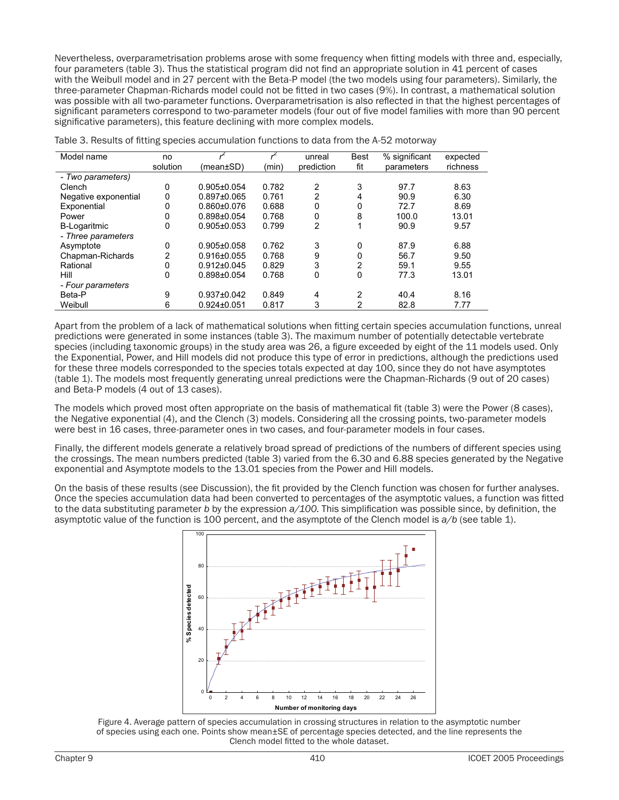Nevertheless, overparametrisation problems arose with some frequency when fitting models with three and, especially, four parameters (table 3). Thus the statistical program did not find an appropriate solution in 41 percent of cases with the Weibull model and in 27 percent with the Beta-P model (the two models using four parameters). Similarly, the three-parameter Chapman-Richards model could not be fitted in two cases (9%). In contrast, a mathematical solution was possible with all two-parameter functions. Overparametrisation is also reflected in that the highest percentages of significant parameters correspond to two-parameter models (four out of five model families with more than 90 percent significative parameters), this feature declining with more complex models.

| Model name           | no       |                   |       | unreal     | <b>Best</b> | % significant | expected |
|----------------------|----------|-------------------|-------|------------|-------------|---------------|----------|
|                      | solution | (mean±SD)         | (min) | prediction | fit         | parameters    | richness |
| - Two parameters)    |          |                   |       |            |             |               |          |
| Clench               | 0        | $0.905 \pm 0.054$ | 0.782 | 2          | 3           | 97.7          | 8.63     |
| Negative exponential | 0        | $0.897 \pm 0.065$ | 0.761 | 2          | 4           | 90.9          | 6.30     |
| Exponential          | 0        | $0.860 \pm 0.076$ | 0.688 | 0          | 0           | 72.7          | 8.69     |
| Power                | 0        | $0.898 + 0.054$   | 0.768 | 0          | 8           | 100.0         | 13.01    |
| <b>B-Logaritmic</b>  | 0        | $0.905 \pm 0.053$ | 0.799 | 2          | 1           | 90.9          | 9.57     |
| - Three parameters   |          |                   |       |            |             |               |          |
| Asymptote            | 0        | $0.905 \pm 0.058$ | 0.762 | 3          | 0           | 87.9          | 6.88     |
| Chapman-Richards     | 2        | $0.916 \pm 0.055$ | 0.768 | 9          | 0           | 56.7          | 9.50     |
| Rational             | 0        | $0.912 \pm 0.045$ | 0.829 | 3          | 2           | 59.1          | 9.55     |
| Hill                 | 0        | $0.898 + 0.054$   | 0.768 | $\Omega$   | 0           | 77.3          | 13.01    |
| - Four parameters    |          |                   |       |            |             |               |          |
| Beta-P               | 9        | $0.937 \pm 0.042$ | 0.849 | 4          | 2           | 40.4          | 8.16     |
| Weibull              | 6        | $0.924 \pm 0.051$ | 0.817 | 3          | 2           | 82.8          | 7.77     |

Table 3. Results of fitting species accumulation functions to data from the A-52 motorway

Apart from the problem of a lack of mathematical solutions when fitting certain species accumulation functions, unreal predictions were generated in some instances (table 3). The maximum number of potentially detectable vertebrate species (including taxonomic groups) in the study area was 26, a figure exceeded by eight of the 11 models used. Only the Exponential. Power, and Hill models did not produce this type of error in predictions, although the predictions used for these three models corresponded to the species totals expected at day 100, since they do not have asymptotes (table 1). The models most frequently generating unreal predictions were the Chapman-Richards (9 out of 20 cases) and Beta-P models (4 out of 13 cases).

The models which proved most often appropriate on the basis of mathematical fit (table 3) were the Power (8 cases). the Negative exponential (4), and the Clench (3) models. Considering all the crossing points, two-parameter models were best in 16 cases, three-parameter ones in two cases, and four-parameter models in four cases.

Finally, the different models generate a relatively broad spread of predictions of the numbers of different species using the crossings. The mean numbers predicted (table 3) varied from the 6.30 and 6.88 species generated by the Negative exponential and Asymptote models to the 13.01 species from the Power and Hill models.

On the basis of these results (see Discussion), the fit provided by the Clench function was chosen for further analyses. Once the species accumulation data had been converted to percentages of the asymptotic values, a function was fitted to the data substituting parameter b by the expression  $a/100$ . This simplification was possible since, by definition, the asymptotic value of the function is 100 percent, and the asymptote of the Clench model is  $a/b$  (see table 1).



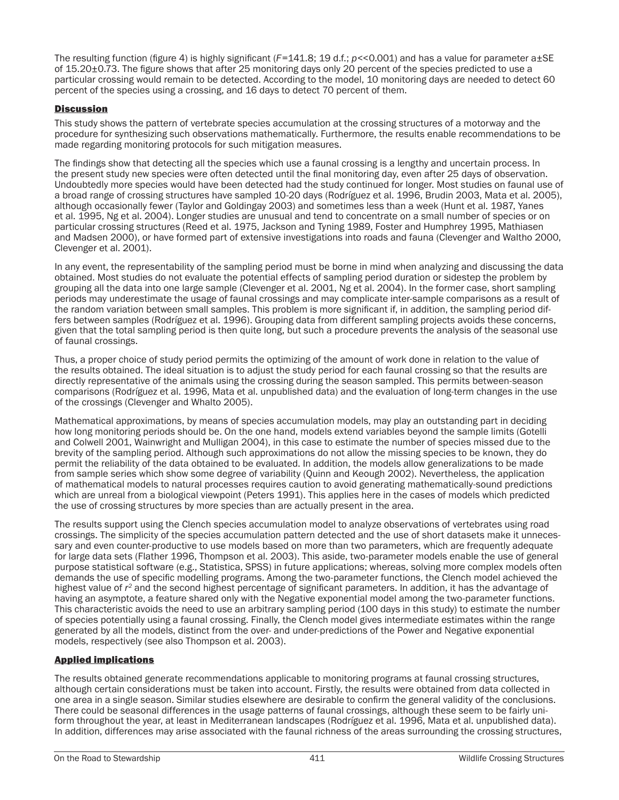The resulting function (figure 4) is highly significant (*F*=141.8; 19 d.f.; *p*<<0.001) and has a value for parameter a±SE of 15.20±0.73. The figure shows that after 25 monitoring days only 20 percent of the species predicted to use a particular crossing would remain to be detected. According to the model, 10 monitoring days are needed to detect 60 percent of the species using a crossing, and 16 days to detect 70 percent of them.

### **Discussion**

This study shows the pattern of vertebrate species accumulation at the crossing structures of a motorway and the procedure for synthesizing such observations mathematically. Furthermore, the results enable recommendations to be made regarding monitoring protocols for such mitigation measures.

The findings show that detecting all the species which use a faunal crossing is a lengthy and uncertain process. In the present study new species were often detected until the final monitoring day, even after 25 days of observation. Undoubtedly more species would have been detected had the study continued for longer. Most studies on faunal use of a broad range of crossing structures have sampled 10-20 days (Rodríguez et al. 1996, Brudin 2003, Mata et al. 2005), although occasionally fewer (Taylor and Goldingay 2003) and sometimes less than a week (Hunt et al. 1987, Yanes et al. 1995, Ng et al. 2004). Longer studies are unusual and tend to concentrate on a small number of species or on particular crossing structures (Reed et al. 1975, Jackson and Tyning 1989, Foster and Humphrey 1995, Mathiasen and Madsen 2000), or have formed part of extensive investigations into roads and fauna (Clevenger and Waltho 2000, Clevenger et al. 2001).

In any event, the representability of the sampling period must be borne in mind when analyzing and discussing the data obtained. Most studies do not evaluate the potential effects of sampling period duration or sidestep the problem by grouping all the data into one large sample (Clevenger et al. 2001, Ng et al. 2004). In the former case, short sampling periods may underestimate the usage of faunal crossings and may complicate inter-sample comparisons as a result of the random variation between small samples. This problem is more significant if, in addition, the sampling period differs between samples (Rodríguez et al. 1996). Grouping data from different sampling projects avoids these concerns, given that the total sampling period is then quite long, but such a procedure prevents the analysis of the seasonal use of faunal crossings.

Thus, a proper choice of study period permits the optimizing of the amount of work done in relation to the value of the results obtained. The ideal situation is to adjust the study period for each faunal crossing so that the results are directly representative of the animals using the crossing during the season sampled. This permits between-season comparisons (Rodríguez et al. 1996, Mata et al. unpublished data) and the evaluation of long-term changes in the use of the crossings (Clevenger and Whalto 2005).

Mathematical approximations, by means of species accumulation models, may play an outstanding part in deciding how long monitoring periods should be. On the one hand, models extend variables beyond the sample limits (Gotelli and Colwell 2001, Wainwright and Mulligan 2004), in this case to estimate the number of species missed due to the brevity of the sampling period. Although such approximations do not allow the missing species to be known, they do permit the reliability of the data obtained to be evaluated. In addition, the models allow generalizations to be made from sample series which show some degree of variability (Quinn and Keough 2002). Nevertheless, the application of mathematical models to natural processes requires caution to avoid generating mathematically-sound predictions which are unreal from a biological viewpoint (Peters 1991). This applies here in the cases of models which predicted the use of crossing structures by more species than are actually present in the area.

The results support using the Clench species accumulation model to analyze observations of vertebrates using road crossings. The simplicity of the species accumulation pattern detected and the use of short datasets make it unnecessary and even counter-productive to use models based on more than two parameters, which are frequently adequate for large data sets (Flather 1996, Thompson et al. 2003). This aside, two-parameter models enable the use of general purpose statistical software (e.g., Statistica, SPSS) in future applications; whereas, solving more complex models often demands the use of specific modelling programs. Among the two-parameter functions, the Clench model achieved the highest value of *r2* and the second highest percentage of significant parameters. In addition, it has the advantage of having an asymptote, a feature shared only with the Negative exponential model among the two-parameter functions. This characteristic avoids the need to use an arbitrary sampling period (100 days in this study) to estimate the number of species potentially using a faunal crossing. Finally, the Clench model gives intermediate estimates within the range generated by all the models, distinct from the over- and under-predictions of the Power and Negative exponential models, respectively (see also Thompson et al. 2003).

### Applied implications

The results obtained generate recommendations applicable to monitoring programs at faunal crossing structures, although certain considerations must be taken into account. Firstly, the results were obtained from data collected in one area in a single season. Similar studies elsewhere are desirable to confirm the general validity of the conclusions. There could be seasonal differences in the usage patterns of faunal crossings, although these seem to be fairly uniform throughout the year, at least in Mediterranean landscapes (Rodríguez et al. 1996, Mata et al. unpublished data). In addition, differences may arise associated with the faunal richness of the areas surrounding the crossing structures,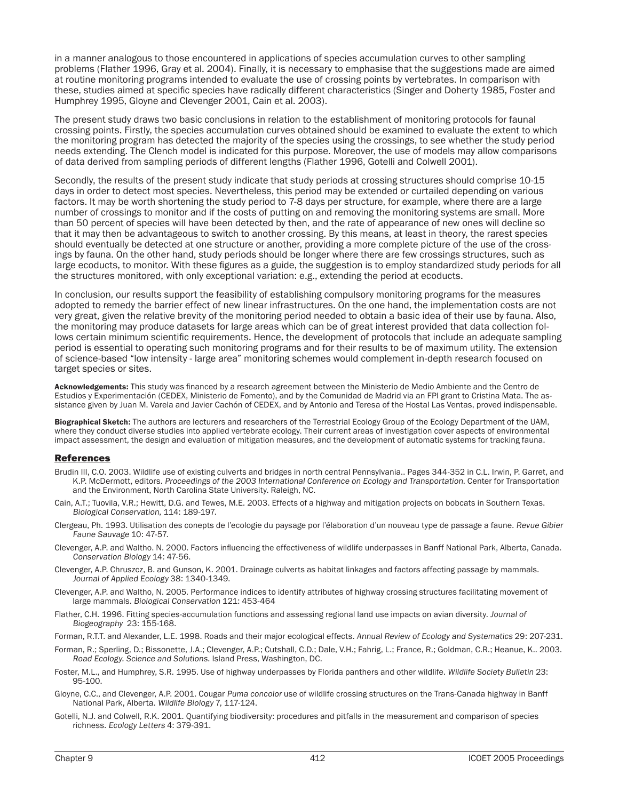in a manner analogous to those encountered in applications of species accumulation curves to other sampling problems (Flather 1996, Gray et al. 2004). Finally, it is necessary to emphasise that the suggestions made are aimed at routine monitoring programs intended to evaluate the use of crossing points by vertebrates. In comparison with these, studies aimed at specific species have radically different characteristics (Singer and Doherty 1985, Foster and Humphrey 1995, Gloyne and Clevenger 2001, Cain et al. 2003).

The present study draws two basic conclusions in relation to the establishment of monitoring protocols for faunal crossing points. Firstly, the species accumulation curves obtained should be examined to evaluate the extent to which the monitoring program has detected the majority of the species using the crossings, to see whether the study period needs extending. The Clench model is indicated for this purpose. Moreover, the use of models may allow comparisons of data derived from sampling periods of different lengths (Flather 1996, Gotelli and Colwell 2001).

Secondly, the results of the present study indicate that study periods at crossing structures should comprise 10-15 days in order to detect most species. Nevertheless, this period may be extended or curtailed depending on various factors. It may be worth shortening the study period to 7-8 days per structure, for example, where there are a large number of crossings to monitor and if the costs of putting on and removing the monitoring systems are small. More than 50 percent of species will have been detected by then, and the rate of appearance of new ones will decline so that it may then be advantageous to switch to another crossing. By this means, at least in theory, the rarest species should eventually be detected at one structure or another, providing a more complete picture of the use of the crossings by fauna. On the other hand, study periods should be longer where there are few crossings structures, such as large ecoducts, to monitor. With these figures as a guide, the suggestion is to employ standardized study periods for all the structures monitored, with only exceptional variation: e.g., extending the period at ecoducts.

In conclusion, our results support the feasibility of establishing compulsory monitoring programs for the measures adopted to remedy the barrier effect of new linear infrastructures. On the one hand, the implementation costs are not very great, given the relative brevity of the monitoring period needed to obtain a basic idea of their use by fauna. Also, the monitoring may produce datasets for large areas which can be of great interest provided that data collection follows certain minimum scientific requirements. Hence, the development of protocols that include an adequate sampling period is essential to operating such monitoring programs and for their results to be of maximum utility. The extension of science-based "low intensity - large area" monitoring schemes would complement in-depth research focused on target species or sites.

Acknowledgements: This study was financed by a research agreement between the Ministerio de Medio Ambiente and the Centro de Estudios y Experimentación (CEDEX, Ministerio de Fomento), and by the Comunidad de Madrid via an FPI grant to Cristina Mata. The assistance given by Juan M. Varela and Javier Cachón of CEDEX, and by Antonio and Teresa of the Hostal Las Ventas, proved indispensable.

Biographical Sketch: The authors are lecturers and researchers of the Terrestrial Ecology Group of the Ecology Department of the UAM, where they conduct diverse studies into applied vertebrate ecology. Their current areas of investigation cover aspects of environmental impact assessment, the design and evaluation of mitigation measures, and the development of automatic systems for tracking fauna.

### References

- Brudin III, C.O. 2003. Wildlife use of existing culverts and bridges in north central Pennsylvania.. Pages 344-352 in C.L. Irwin, P. Garret, and K.P. McDermott, editors. Proceedings of the 2003 International Conference on Ecology and Transportation. Center for Transportation and the Environment, North Carolina State University. Raleigh, NC.
- Cain, A.T.; Tuovila, V.R.; Hewitt, D.G. and Tewes, M.E. 2003. Effects of a highway and mitigation projects on bobcats in Southern Texas. Biological Conservation, 114: 189-197.
- Clergeau, Ph. 1993. Utilisation des conepts de l'ecologie du paysage por l'élaboration d'un nouveau type de passage a faune. Revue Gibier Faune Sauvage 10: 47-57.
- Clevenger, A.P. and Waltho. N. 2000. Factors influencing the effectiveness of wildlife underpasses in Banff National Park, Alberta, Canada. Conservation Biology 14: 47-56.
- Clevenger, A.P. Chruszcz, B. and Gunson, K. 2001. Drainage culverts as habitat linkages and factors affecting passage by mammals. Journal of Applied Ecology 38: 1340-1349.
- Clevenger, A.P. and Waltho, N. 2005. Performance indices to identify attributes of highway crossing structures facilitating movement of large mammals. Biological Conservation 121: 453-464
- Flather, C.H. 1996. Fitting species-accumulation functions and assessing regional land use impacts on avian diversity. Journal of Biogeography 23: 155-168.
- Forman, R.T.T. and Alexander, L.E. 1998. Roads and their major ecological effects. Annual Review of Ecology and Systematics 29: 207-231.
- Forman, R.; Sperling, D.; Bissonette, J.A.; Clevenger, A.P.; Cutshall, C.D.; Dale, V.H.; Fahrig, L.; France, R.; Goldman, C.R.; Heanue, K.. 2003. Road Ecology. Science and Solutions. Island Press, Washington, DC.
- Foster, M.L., and Humphrey, S.R. 1995. Use of highway underpasses by Florida panthers and other wildlife. Wildlife Society Bulletin 23: 95-100.
- Gloyne, C.C., and Clevenger, A.P. 2001. Cougar Puma concolor use of wildlife crossing structures on the Trans-Canada highway in Banff National Park, Alberta. Wildlife Biology 7, 117-124.
- Gotelli, N.J. and Colwell, R.K. 2001. Quantifying biodiversity: procedures and pitfalls in the measurement and comparison of species richness. Ecology Letters 4: 379-391.